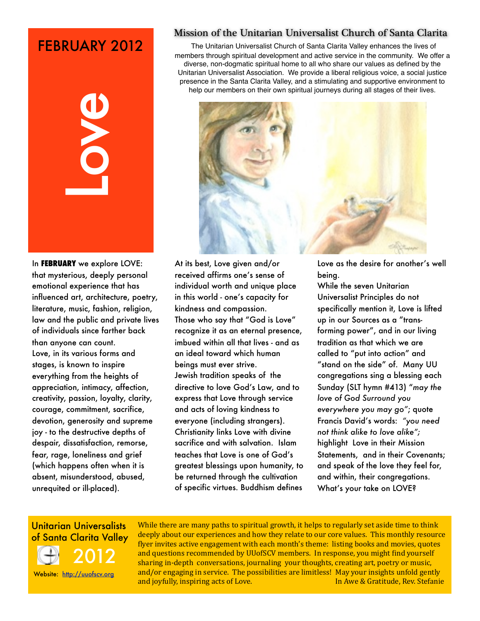# FEBRUARY 2012



In FEBRUARY we explore LO<br>
that mysterious, deeply persembional experience that h<br>
influenced art, architecture,<br>
literature, music, fashion, rel<br>
law and the public and prive<br>
of individuals since farther b<br>
than anyone c In **FEBRUARY** we explore LOVE: that mysterious, deeply personal emotional experience that has influenced art, architecture, poetry, literature, music, fashion, religion, law and the public and private lives of individuals since farther back than anyone can count. Love, in its various forms and stages, is known to inspire everything from the heights of appreciation, intimacy, affection, creativity, passion, loyalty, clarity, courage, commitment, sacrifice, devotion, generosity and supreme joy - to the destructive depths of despair, dissatisfaction, remorse, fear, rage, loneliness and grief (which happens often when it is absent, misunderstood, abused, unrequited or ill-placed).

#### Mission of the Unitarian Universalist Church of Santa Clarita

The Unitarian Universalist Church of Santa Clarita Valley enhances the lives of members through spiritual development and active service in the community. We offer a diverse, non-dogmatic spiritual home to all who share our values as defined by the Unitarian Universalist Association. We provide a liberal religious voice, a social justice presence in the Santa Clarita Valley, and a stimulating and supportive environment to help our members on their own spiritual journeys during all stages of their lives.



At its best, Love given and/or received affirms one's sense of individual worth and unique place in this world - one's capacity for kindness and compassion. Those who say that "God is Love" recognize it as an eternal presence, imbued within all that lives - and as an ideal toward which human beings must ever strive. Jewish tradition speaks of the directive to love God's Law, and to express that Love through service and acts of loving kindness to everyone (including strangers). Christianity links Love with divine sacrifice and with salvation. Islam teaches that Love is one of God's greatest blessings upon humanity, to be returned through the cultivation of specific virtues. Buddhism defines

Love as the desire for another's well being.

While the seven Unitarian Universalist Principles do not specifically mention it, Love is lifted up in our Sources as a "transforming power", and in our living tradition as that which we are called to "put into action" and "stand on the side" of. Many UU congregations sing a blessing each Sunday (SLT hymn #413) "*may the love of God Surround you everywhere you may go"*; quote Francis David's words: *"you need not think alike to love alike";*  highlight Love in their Mission Statements, and in their Covenants; and speak of the love they feel for, and within, their congregations. What's your take on LOVE?

# Unitarian Universalists

2012



Website: <http://uuofscv.org>

While there are many paths to spiritual growth, it helps to regularly set aside time to think deeply about our experiences and how they relate to our core values. This monthly resource flyer invites active engagement with each month's theme: listing books and movies, quotes and questions recommended by UUofSCV members. In response, you might find yourself sharing in-depth conversations, journaling your thoughts, creating art, poetry or music, and/or engaging in service. The possibilities are limitless! May your insights unfold gently and joyfully, inspiring acts of Love. *In Awe & Gratitude, Rev. Stefanie*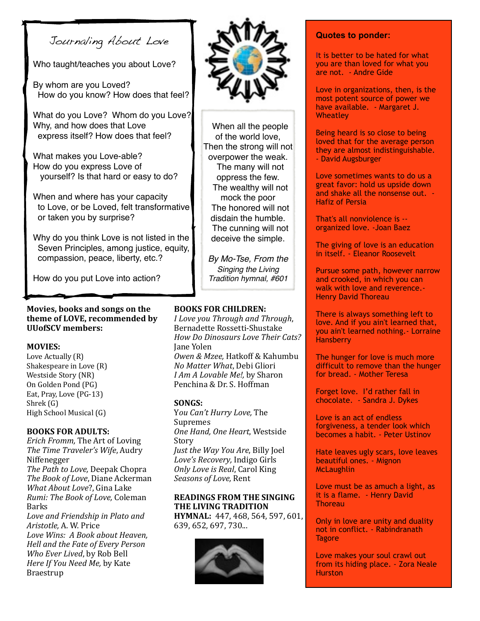### Journaling About Love

Who taught/teaches you about Love?

 By whom are you Loved? How do you know? How does that feel?

 What do you Love? Whom do you Love? Why, and how does that Love express itself? How does that feel?

 What makes you Love-able? How do you express Love of yourself? Is that hard or easy to do?

 When and where has your capacity to Love, or be Loved, felt transformative or taken you by surprise?

 Why do you think Love is not listed in the Seven Principles, among justice, equity, compassion, peace, liberty, etc.?

How do you put Love into action?

#### Movies, books and songs on the theme of LOVE, recommended by **UUofSCV** members:

#### **MOVIES:**

Love Actually  $(R)$ Shakespeare in Love  $(R)$ Westside Story (NR) On Golden Pond (PG) Eat, Pray, Love (PG-13) Shrek $(G)$ High School Musical (G)

#### **BOOKS FOR ADULTS:**

*Erich Fromm,* The Art of Loving The Time Traveler's Wife, Audry Niffenegger *The Path to Love,* Deepak Chopra The Book of Love, Diane Ackerman *What About Love*?, Gina Lake *Rumi: The Book of Love, Coleman* Barks Love and Friendship in Plato and *Aristotle,* A. W. Price Love Wins: A Book about Heaven, *Hell and the Fate of Every Person Who Ever Lived*, by Rob Bell *Here If You Need Me, by Kate* Braestrup



When all the people of the world love, Then the strong will not overpower the weak. The many will not oppress the few. The wealthy will not mock the poor The honored will not disdain the humble. The cunning will not deceive the simple.

*By Mo-Tse, From the Singing the Living Tradition hymnal, #601*

#### **BOOKS FOR CHILDREN:**

*I* Love you Through and Through, Bernadette Rossetti-Shustake *How Do Dinosaurs Love Their Cats?*  Jane Yolen *Owen & Mzee,* Hatkoff & Kahumbu

*No Matter What*, Debi Gliori *I* Am *A* Lovable Me!, by Sharon Penchina & Dr. S. Hoffman

#### **SONGS:**

You Can't Hurry Love, The Supremes *One Hand, One Heart*, Westside Story *Just the Way You Are, Billy Joel* Love's Recovery, Indigo Girls *Only Love is Real*, Carol King *Seasons of Love,* Rent

#### **READINGS FROM THE SINGING THE LIVING TRADITION**

**HYMNAL:** 447, 468, 564, 597, 601, 639, 652, 697, 730...



#### **Quotes to ponder:**

It is better to be hated for what you are than loved for what you are not. - Andre Gide

Love in organizations, then, is the most potent source of power we have available. - Margaret J. **Wheatley** 

Being heard is so close to being loved that for the average person they are almost indistinguishable. - David Augsburger

Love sometimes wants to do us a great favor: hold us upside down and shake all the nonsense out. - Hafiz of Persia

That's all nonviolence is - organized love. -Joan Baez

The giving of love is an education in itself. - Eleanor Roosevelt

Pursue some path, however narrow and crooked, in which you can walk with love and reverence.- Henry David Thoreau

There is always something left to love. And if you ain't learned that, you ain't learned nothing.- Lorraine **Hansberry** 

The hunger for love is much more difficult to remove than the hunger for bread. - Mother Teresa

Forget love. I'd rather fall in chocolate. - Sandra J. Dykes

Love is an act of endless forgiveness, a tender look which becomes a habit. - Peter Ustinov

Hate leaves ugly scars, love leaves beautiful ones. - Mignon **McLaughlin** 

Love must be as amuch a light, as it is a flame. - Henry David **Thoreau** 

Only in love are unity and duality not in conflict. - Rabindranath **Tagore** 

Love makes your soul crawl out from its hiding place. - Zora Neale **Hurston**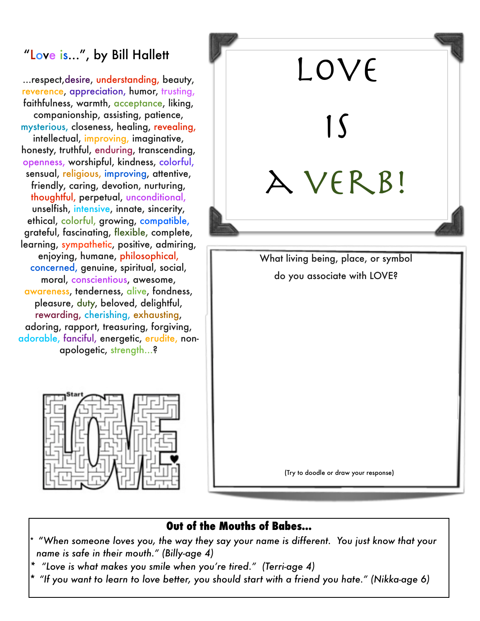# "Love is...", by Bill Hallett

...respect,desire, understanding, beauty, reverence, appreciation, humor, trusting, faithfulness, warmth, acceptance, liking, companionship, assisting, patience, mysterious, closeness, healing, revealing, intellectual, improving, imaginative, honesty, truthful, enduring, transcending, openness, worshipful, kindness, colorful, sensual, religious, improving, attentive, friendly, caring, devotion, nurturing, thoughtful, perpetual, unconditional, unselfish, intensive, innate, sincerity, ethical, colorful, growing, compatible, grateful, fascinating, flexible, complete, learning, sympathetic, positive, admiring, enjoying, humane, philosophical, concerned, genuine, spiritual, social, moral, conscientious, awesome, awareness, tenderness, alive, fondness, pleasure, duty, beloved, delightful, rewarding, cherishing, exhausting, adoring, rapport, treasuring, forgiving, adorable, fanciful, energetic, erudite, nonapologetic, strength...?





(Try to doodle or draw your response)

### **Out of the Mouths of Babes...**

- \* "*When someone loves you, the way they say your name is different. You just know that your name is safe in their mouth." (Billy-age 4)*
- *\* "Love is what makes you smile when you're tired." (Terri-age 4)*
- \* *"If you want to learn to love better, you should start with a friend you hate." (Nikka-age 6)*